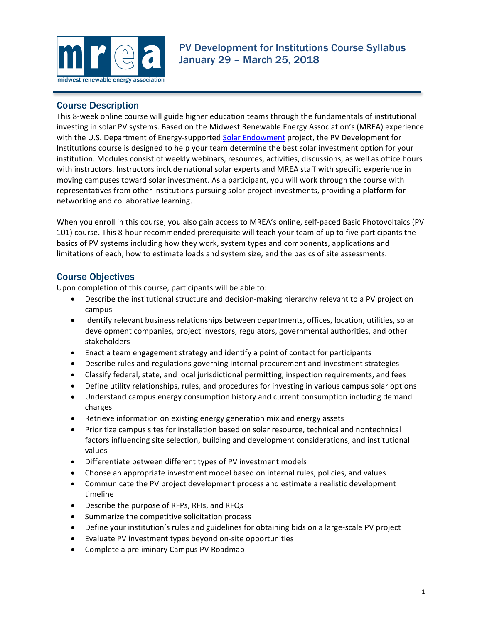

## Course Description

This 8-week online course will guide higher education teams through the fundamentals of institutional investing in solar PV systems. Based on the Midwest Renewable Energy Association's (MREA) experience with the U.S. Department of Energy-supported Solar Endowment project, the PV Development for Institutions course is designed to help your team determine the best solar investment option for your institution. Modules consist of weekly webinars, resources, activities, discussions, as well as office hours with instructors. Instructors include national solar experts and MREA staff with specific experience in moving campuses toward solar investment. As a participant, you will work through the course with representatives from other institutions pursuing solar project investments, providing a platform for networking and collaborative learning.

When you enroll in this course, you also gain access to MREA's online, self-paced Basic Photovoltaics (PV 101) course. This 8-hour recommended prerequisite will teach your team of up to five participants the basics of PV systems including how they work, system types and components, applications and limitations of each, how to estimate loads and system size, and the basics of site assessments.

## Course Objectives

Upon completion of this course, participants will be able to:

- Describe the institutional structure and decision-making hierarchy relevant to a PV project on campus
- Identify relevant business relationships between departments, offices, location, utilities, solar development companies, project investors, regulators, governmental authorities, and other stakeholders
- Enact a team engagement strategy and identify a point of contact for participants
- Describe rules and regulations governing internal procurement and investment strategies
- Classify federal, state, and local jurisdictional permitting, inspection requirements, and fees
- Define utility relationships, rules, and procedures for investing in various campus solar options
- Understand campus energy consumption history and current consumption including demand charges
- Retrieve information on existing energy generation mix and energy assets
- Prioritize campus sites for installation based on solar resource, technical and nontechnical factors influencing site selection, building and development considerations, and institutional values
- Differentiate between different types of PV investment models
- Choose an appropriate investment model based on internal rules, policies, and values
- Communicate the PV project development process and estimate a realistic development timeline
- Describe the purpose of RFPs, RFIs, and RFQs
- Summarize the competitive solicitation process
- Define your institution's rules and guidelines for obtaining bids on a large-scale PV project
- Evaluate PV investment types beyond on-site opportunities
- Complete a preliminary Campus PV Roadmap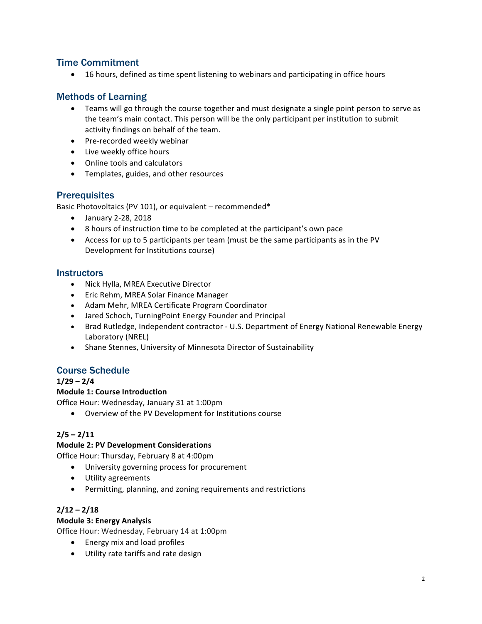## Time Commitment

• 16 hours, defined as time spent listening to webinars and participating in office hours

# Methods of Learning

- Teams will go through the course together and must designate a single point person to serve as the team's main contact. This person will be the only participant per institution to submit activity findings on behalf of the team.
- Pre-recorded weekly webinar
- Live weekly office hours
- Online tools and calculators
- Templates, guides, and other resources

## **Prerequisites**

Basic Photovoltaics (PV 101), or equivalent - recommended\*

- January 2-28, 2018
- 8 hours of instruction time to be completed at the participant's own pace
- Access for up to 5 participants per team (must be the same participants as in the PV Development for Institutions course)

## **Instructors**

- Nick Hylla, MREA Executive Director
- Eric Rehm, MREA Solar Finance Manager
- Adam Mehr, MREA Certificate Program Coordinator
- Jared Schoch, TurningPoint Energy Founder and Principal
- Brad Rutledge, Independent contractor U.S. Department of Energy National Renewable Energy Laboratory (NREL)
- Shane Stennes, University of Minnesota Director of Sustainability

# Course Schedule

**1/29 – 2/4**

## **Module 1: Course Introduction**

Office Hour: Wednesday, January 31 at 1:00pm

• Overview of the PV Development for Institutions course

## $2/5 - 2/11$

## **Module 2: PV Development Considerations**

Office Hour: Thursday, February 8 at 4:00pm

- University governing process for procurement
- Utility agreements
- Permitting, planning, and zoning requirements and restrictions

## **2/12 – 2/18**

## **Module 3: Energy Analysis**

Office Hour: Wednesday, February 14 at 1:00pm

- Energy mix and load profiles
- Utility rate tariffs and rate design